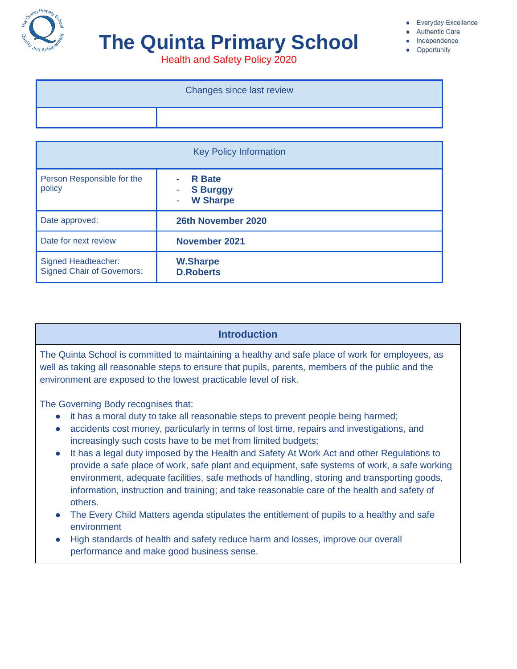

# **The Quinta Primary School**

Everyday Excellence

- **Authentic Care**
- Independence • Opportunity

Health and Safety Policy 2020

| Changes since last review |
|---------------------------|
|                           |

| <b>Key Policy Information</b>                                   |                                                     |  |  |
|-----------------------------------------------------------------|-----------------------------------------------------|--|--|
| Person Responsible for the<br>policy                            | <b>R</b> Bate<br><b>S Burggy</b><br><b>W Sharpe</b> |  |  |
| Date approved:                                                  | 26th November 2020                                  |  |  |
| Date for next review                                            | <b>November 2021</b>                                |  |  |
| <b>Signed Headteacher:</b><br><b>Signed Chair of Governors:</b> | <b>W.Sharpe</b><br><b>D.Roberts</b>                 |  |  |

# **Introduction**

The Quinta School is committed to maintaining a healthy and safe place of work for employees, as well as taking all reasonable steps to ensure that pupils, parents, members of the public and the environment are exposed to the lowest practicable level of risk.

The Governing Body recognises that:

- it has a moral duty to take all reasonable steps to prevent people being harmed;
- accidents cost money, particularly in terms of lost time, repairs and investigations, and increasingly such costs have to be met from limited budgets;
- It has a legal duty imposed by the Health and Safety At Work Act and other Regulations to provide a safe place of work, safe plant and equipment, safe systems of work, a safe working environment, adequate facilities, safe methods of handling, storing and transporting goods, information, instruction and training; and take reasonable care of the health and safety of others.
- The Every Child Matters agenda stipulates the entitlement of pupils to a healthy and safe environment
- High standards of health and safety reduce harm and losses, improve our overall performance and make good business sense.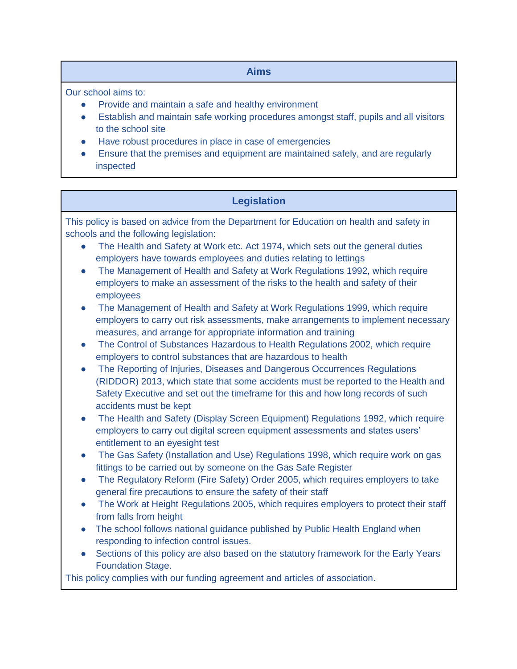# **Aims**

Our school aims to:

- Provide and maintain a safe and healthy environment
- Establish and maintain safe working procedures amongst staff, pupils and all visitors to the school site
- Have robust procedures in place in case of emergencies
- Ensure that the premises and equipment are maintained safely, and are regularly inspected

# **Legislation**

This policy is based on advice from the Department for Education on health and safety in schools and the following legislation:

- The Health and Safety at Work etc. Act 1974, which sets out the general duties employers have towards employees and duties relating to lettings
- The Management of Health and Safety at Work Regulations 1992, which require employers to make an assessment of the risks to the health and safety of their employees
- The Management of Health and Safety at Work Regulations 1999, which require employers to carry out risk assessments, make arrangements to implement necessary measures, and arrange for appropriate information and training
- The Control of Substances Hazardous to Health Regulations 2002, which require employers to control substances that are hazardous to health
- The Reporting of Injuries, Diseases and Dangerous Occurrences Regulations (RIDDOR) 2013, which state that some accidents must be reported to the Health and Safety Executive and set out the timeframe for this and how long records of such accidents must be kept
- The Health and Safety (Display Screen Equipment) Regulations 1992, which require employers to carry out digital screen equipment assessments and states users' entitlement to an eyesight test
- The Gas Safety (Installation and Use) Regulations 1998, which require work on gas fittings to be carried out by someone on the Gas Safe Register
- The Regulatory Reform (Fire Safety) Order 2005, which requires employers to take general fire precautions to ensure the safety of their staff
- The Work at Height Regulations 2005, which requires employers to protect their staff from falls from height
- The school follows national guidance published by Public Health England when responding to infection control issues.
- Sections of this policy are also based on the statutory framework for the Early Years Foundation Stage.

This policy complies with our funding agreement and articles of association.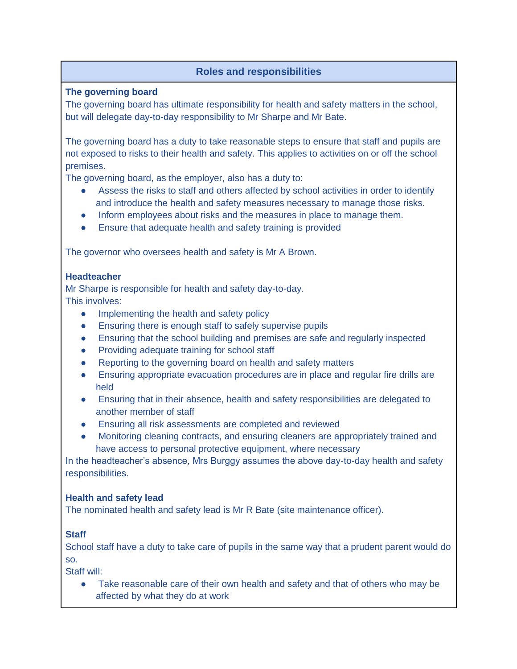# **Roles and responsibilities**

**The governing board** 

The governing board has ultimate responsibility for health and safety matters in the school, but will delegate day-to-day responsibility to Mr Sharpe and Mr Bate.

The governing board has a duty to take reasonable steps to ensure that staff and pupils are not exposed to risks to their health and safety. This applies to activities on or off the school premises.

The governing board, as the employer, also has a duty to:

- Assess the risks to staff and others affected by school activities in order to identify and introduce the health and safety measures necessary to manage those risks.
- Inform employees about risks and the measures in place to manage them.
- Ensure that adequate health and safety training is provided

The governor who oversees health and safety is Mr A Brown.

#### **Headteacher**

Mr Sharpe is responsible for health and safety day-to-day. This involves:

- Implementing the health and safety policy
- Ensuring there is enough staff to safely supervise pupils
- Ensuring that the school building and premises are safe and regularly inspected
- Providing adequate training for school staff
- Reporting to the governing board on health and safety matters
- Ensuring appropriate evacuation procedures are in place and regular fire drills are held
- Ensuring that in their absence, health and safety responsibilities are delegated to another member of staff
- Ensuring all risk assessments are completed and reviewed
- Monitoring cleaning contracts, and ensuring cleaners are appropriately trained and have access to personal protective equipment, where necessary

In the headteacher's absence, Mrs Burggy assumes the above day-to-day health and safety responsibilities.

#### **Health and safety lead**

The nominated health and safety lead is Mr R Bate (site maintenance officer).

## **Staff**

School staff have a duty to take care of pupils in the same way that a prudent parent would do so.

Staff will:

Take reasonable care of their own health and safety and that of others who may be affected by what they do at work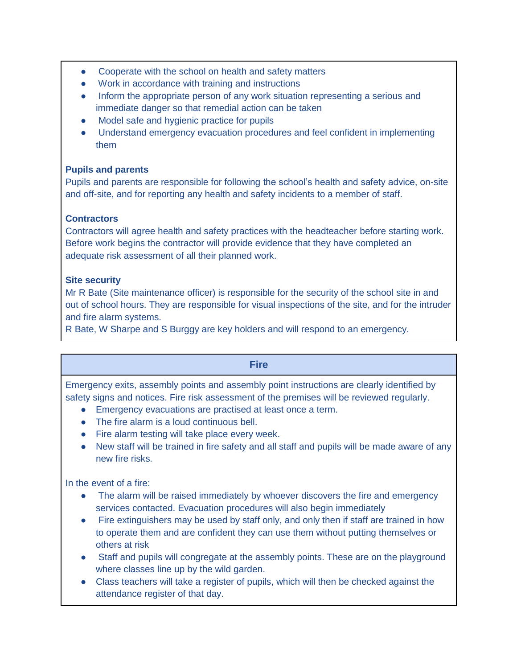- Cooperate with the school on health and safety matters
- Work in accordance with training and instructions
- Inform the appropriate person of any work situation representing a serious and immediate danger so that remedial action can be taken
- Model safe and hygienic practice for pupils
- Understand emergency evacuation procedures and feel confident in implementing them

# **Pupils and parents**

Pupils and parents are responsible for following the school's health and safety advice, on-site and off-site, and for reporting any health and safety incidents to a member of staff.

# **Contractors**

Contractors will agree health and safety practices with the headteacher before starting work. Before work begins the contractor will provide evidence that they have completed an adequate risk assessment of all their planned work.

## **Site security**

Mr R Bate (Site maintenance officer) is responsible for the security of the school site in and out of school hours. They are responsible for visual inspections of the site, and for the intruder and fire alarm systems.

R Bate, W Sharpe and S Burggy are key holders and will respond to an emergency.

| <b>Fire</b>                                                                                |
|--------------------------------------------------------------------------------------------|
| Emergency exits, assembly points and assembly point instructions are clearly identified by |
| safety signs and notices. Fire risk assessment of the premises will be reviewed regularly. |
| Emergency evacuations are practised at least once a term.                                  |

- The fire alarm is a loud continuous bell.
- Fire alarm testing will take place every week.
- New staff will be trained in fire safety and all staff and pupils will be made aware of any new fire risks.

In the event of a fire:

- The alarm will be raised immediately by whoever discovers the fire and emergency services contacted. Evacuation procedures will also begin immediately
- Fire extinguishers may be used by staff only, and only then if staff are trained in how to operate them and are confident they can use them without putting themselves or others at risk
- Staff and pupils will congregate at the assembly points. These are on the playground where classes line up by the wild garden.
- Class teachers will take a register of pupils, which will then be checked against the attendance register of that day.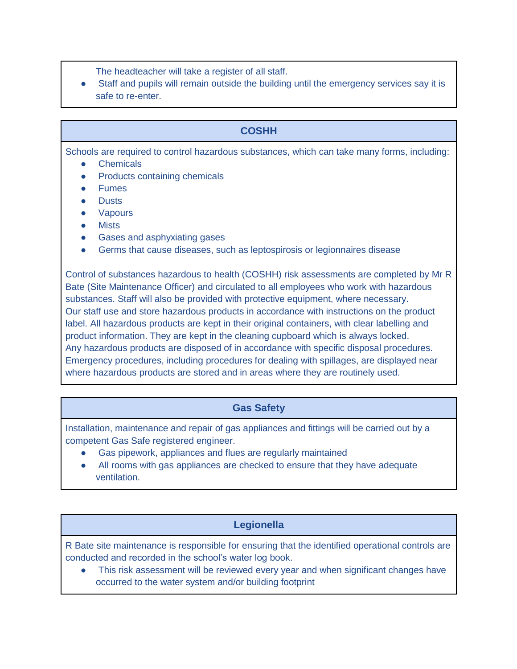- The headteacher will take a register of all staff.
- Staff and pupils will remain outside the building until the emergency services say it is safe to re-enter.

# **COSHH**

Schools are required to control hazardous substances, which can take many forms, including:

- **Chemicals**
- **Products containing chemicals**
- Fumes
- **Dusts**
- **Vapours**
- **Mists**
- Gases and asphyxiating gases
- Germs that cause diseases, such as leptospirosis or legionnaires disease

Control of substances hazardous to health (COSHH) risk assessments are completed by Mr R Bate (Site Maintenance Officer) and circulated to all employees who work with hazardous substances. Staff will also be provided with protective equipment, where necessary. Our staff use and store hazardous products in accordance with instructions on the product label. All hazardous products are kept in their original containers, with clear labelling and product information. They are kept in the cleaning cupboard which is always locked. Any hazardous products are disposed of in accordance with specific disposal procedures. Emergency procedures, including procedures for dealing with spillages, are displayed near where hazardous products are stored and in areas where they are routinely used.

# **Gas Safety**

Installation, maintenance and repair of gas appliances and fittings will be carried out by a competent Gas Safe registered engineer.

- Gas pipework, appliances and flues are regularly maintained
- All rooms with gas appliances are checked to ensure that they have adequate ventilation.

# **Legionella**

R Bate site maintenance is responsible for ensuring that the identified operational controls are conducted and recorded in the school's water log book.

This risk assessment will be reviewed every year and when significant changes have occurred to the water system and/or building footprint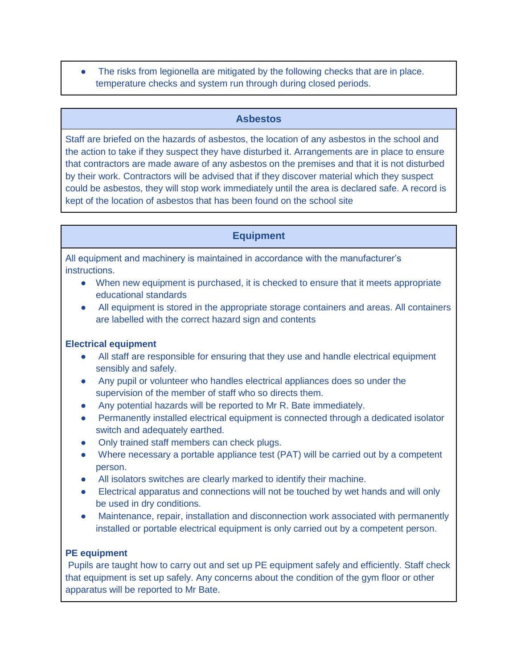The risks from legionella are mitigated by the following checks that are in place. temperature checks and system run through during closed periods.

#### **Asbestos**

Staff are briefed on the hazards of asbestos, the location of any asbestos in the school and the action to take if they suspect they have disturbed it. Arrangements are in place to ensure that contractors are made aware of any asbestos on the premises and that it is not disturbed by their work. Contractors will be advised that if they discover material which they suspect could be asbestos, they will stop work immediately until the area is declared safe. A record is kept of the location of asbestos that has been found on the school site

## **Equipment**

All equipment and machinery is maintained in accordance with the manufacturer's instructions.

- When new equipment is purchased, it is checked to ensure that it meets appropriate educational standards
- All equipment is stored in the appropriate storage containers and areas. All containers are labelled with the correct hazard sign and contents

#### **Electrical equipment**

- All staff are responsible for ensuring that they use and handle electrical equipment sensibly and safely.
- Any pupil or volunteer who handles electrical appliances does so under the supervision of the member of staff who so directs them.
- Any potential hazards will be reported to Mr R. Bate immediately.
- Permanently installed electrical equipment is connected through a dedicated isolator switch and adequately earthed.
- Only trained staff members can check plugs.
- Where necessary a portable appliance test (PAT) will be carried out by a competent person.
- All isolators switches are clearly marked to identify their machine.
- Electrical apparatus and connections will not be touched by wet hands and will only be used in dry conditions.
- Maintenance, repair, installation and disconnection work associated with permanently installed or portable electrical equipment is only carried out by a competent person.

## **PE equipment**

Pupils are taught how to carry out and set up PE equipment safely and efficiently. Staff check that equipment is set up safely. Any concerns about the condition of the gym floor or other apparatus will be reported to Mr Bate.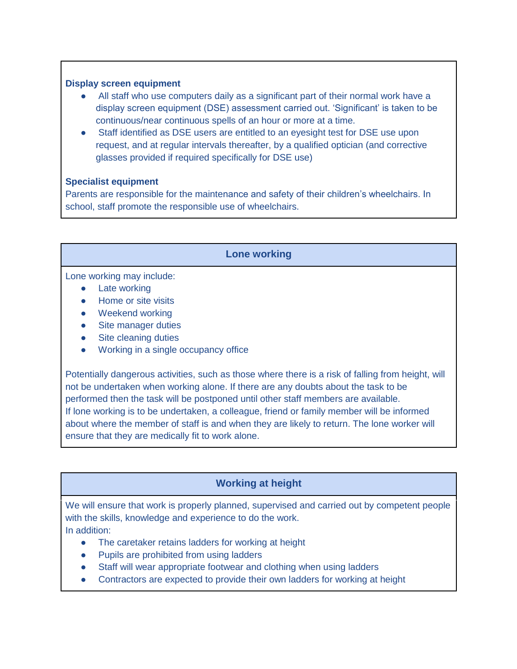#### **Display screen equipment**

- All staff who use computers daily as a significant part of their normal work have a display screen equipment (DSE) assessment carried out. 'Significant' is taken to be continuous/near continuous spells of an hour or more at a time.
- Staff identified as DSE users are entitled to an eyesight test for DSE use upon request, and at regular intervals thereafter, by a qualified optician (and corrective glasses provided if required specifically for DSE use)

#### **Specialist equipment**

Parents are responsible for the maintenance and safety of their children's wheelchairs. In school, staff promote the responsible use of wheelchairs.

#### **Lone working**

Lone working may include:

- Late working
- Home or site visits
- Weekend working
- Site manager duties
- Site cleaning duties
- Working in a single occupancy office

Potentially dangerous activities, such as those where there is a risk of falling from height, will not be undertaken when working alone. If there are any doubts about the task to be performed then the task will be postponed until other staff members are available. If lone working is to be undertaken, a colleague, friend or family member will be informed about where the member of staff is and when they are likely to return. The lone worker will ensure that they are medically fit to work alone.

# **Working at height**

We will ensure that work is properly planned, supervised and carried out by competent people with the skills, knowledge and experience to do the work. In addition:

- The caretaker retains ladders for working at height
- Pupils are prohibited from using ladders
- Staff will wear appropriate footwear and clothing when using ladders
- Contractors are expected to provide their own ladders for working at height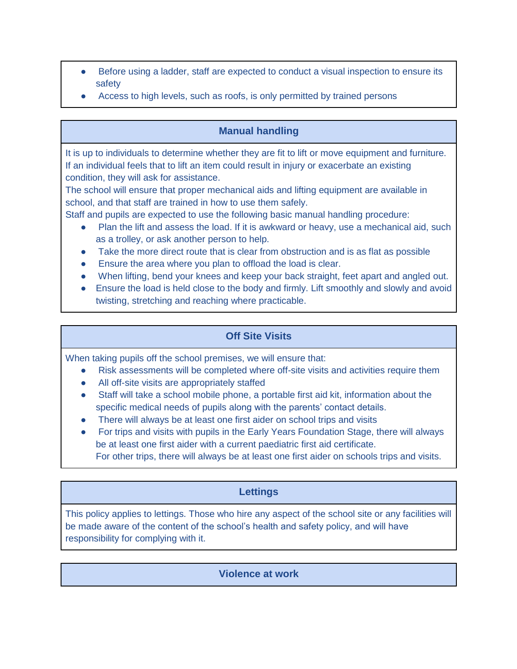- Before using a ladder, staff are expected to conduct a visual inspection to ensure its safety
- Access to high levels, such as roofs, is only permitted by trained persons

# **Manual handling**

It is up to individuals to determine whether they are fit to lift or move equipment and furniture. If an individual feels that to lift an item could result in injury or exacerbate an existing condition, they will ask for assistance.

The school will ensure that proper mechanical aids and lifting equipment are available in school, and that staff are trained in how to use them safely.

Staff and pupils are expected to use the following basic manual handling procedure:

- Plan the lift and assess the load. If it is awkward or heavy, use a mechanical aid, such as a trolley, or ask another person to help.
- Take the more direct route that is clear from obstruction and is as flat as possible
- Ensure the area where you plan to offload the load is clear.
- When lifting, bend your knees and keep your back straight, feet apart and angled out.
- Ensure the load is held close to the body and firmly. Lift smoothly and slowly and avoid twisting, stretching and reaching where practicable.

# **Off Site Visits**

When taking pupils off the school premises, we will ensure that:

- Risk assessments will be completed where off-site visits and activities require them
- All off-site visits are appropriately staffed
- Staff will take a school mobile phone, a portable first aid kit, information about the specific medical needs of pupils along with the parents' contact details.
- There will always be at least one first aider on school trips and visits
- For trips and visits with pupils in the Early Years Foundation Stage, there will always be at least one first aider with a current paediatric first aid certificate.

For other trips, there will always be at least one first aider on schools trips and visits.

# **Lettings**

This policy applies to lettings. Those who hire any aspect of the school site or any facilities will be made aware of the content of the school's health and safety policy, and will have responsibility for complying with it.

## **Violence at work**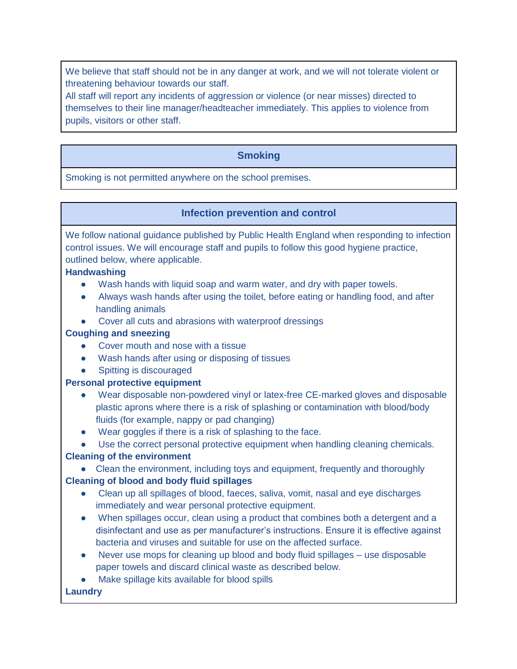We believe that staff should not be in any danger at work, and we will not tolerate violent or threatening behaviour towards our staff.

All staff will report any incidents of aggression or violence (or near misses) directed to themselves to their line manager/headteacher immediately. This applies to violence from pupils, visitors or other staff.

# **Smoking**

Smoking is not permitted anywhere on the school premises.

## **Infection prevention and control**

We follow national guidance published by Public Health England when responding to infection control issues. We will encourage staff and pupils to follow this good hygiene practice, outlined below, where applicable.

#### **Handwashing**

- Wash hands with liquid soap and warm water, and dry with paper towels.
- Always wash hands after using the toilet, before eating or handling food, and after handling animals
- Cover all cuts and abrasions with waterproof dressings

#### **Coughing and sneezing**

- Cover mouth and nose with a tissue
- Wash hands after using or disposing of tissues
- **Spitting is discouraged**

## **Personal protective equipment**

- Wear disposable non-powdered vinyl or latex-free CE-marked gloves and disposable plastic aprons where there is a risk of splashing or contamination with blood/body fluids (for example, nappy or pad changing)
- Wear goggles if there is a risk of splashing to the face.

## ● Use the correct personal protective equipment when handling cleaning chemicals.

## **Cleaning of the environment**

● Clean the environment, including toys and equipment, frequently and thoroughly

## **Cleaning of blood and body fluid spillages**

- Clean up all spillages of blood, faeces, saliva, vomit, nasal and eye discharges immediately and wear personal protective equipment.
- When spillages occur, clean using a product that combines both a detergent and a disinfectant and use as per manufacturer's instructions. Ensure it is effective against bacteria and viruses and suitable for use on the affected surface.
- Never use mops for cleaning up blood and body fluid spillages use disposable paper towels and discard clinical waste as described below.
- Make spillage kits available for blood spills

## **Laundry**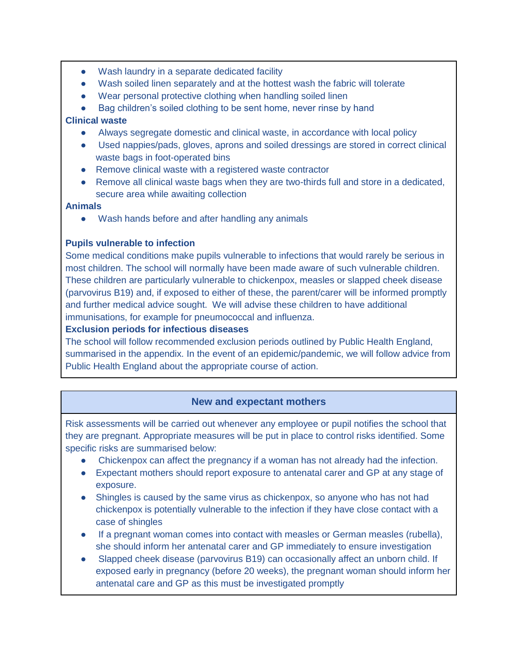- Wash laundry in a separate dedicated facility
- Wash soiled linen separately and at the hottest wash the fabric will tolerate
- Wear personal protective clothing when handling soiled linen
- Bag children's soiled clothing to be sent home, never rinse by hand

#### **Clinical waste**

- Always segregate domestic and clinical waste, in accordance with local policy
- Used nappies/pads, gloves, aprons and soiled dressings are stored in correct clinical waste bags in foot-operated bins
- Remove clinical waste with a registered waste contractor
- Remove all clinical waste bags when they are two-thirds full and store in a dedicated, secure area while awaiting collection

#### **Animals**

Wash hands before and after handling any animals

#### **Pupils vulnerable to infection**

Some medical conditions make pupils vulnerable to infections that would rarely be serious in most children. The school will normally have been made aware of such vulnerable children. These children are particularly vulnerable to chickenpox, measles or slapped cheek disease (parvovirus B19) and, if exposed to either of these, the parent/carer will be informed promptly and further medical advice sought. We will advise these children to have additional immunisations, for example for pneumococcal and influenza.

#### **Exclusion periods for infectious diseases**

The school will follow recommended exclusion periods outlined by Public Health England, summarised in the appendix. In the event of an epidemic/pandemic, we will follow advice from Public Health England about the appropriate course of action.

## **New and expectant mothers**

Risk assessments will be carried out whenever any employee or pupil notifies the school that they are pregnant. Appropriate measures will be put in place to control risks identified. Some specific risks are summarised below:

- Chickenpox can affect the pregnancy if a woman has not already had the infection.
- Expectant mothers should report exposure to antenatal carer and GP at any stage of exposure.
- Shingles is caused by the same virus as chickenpox, so anyone who has not had chickenpox is potentially vulnerable to the infection if they have close contact with a case of shingles
- If a pregnant woman comes into contact with measles or German measles (rubella), she should inform her antenatal carer and GP immediately to ensure investigation
- Slapped cheek disease (parvovirus B19) can occasionally affect an unborn child. If exposed early in pregnancy (before 20 weeks), the pregnant woman should inform her antenatal care and GP as this must be investigated promptly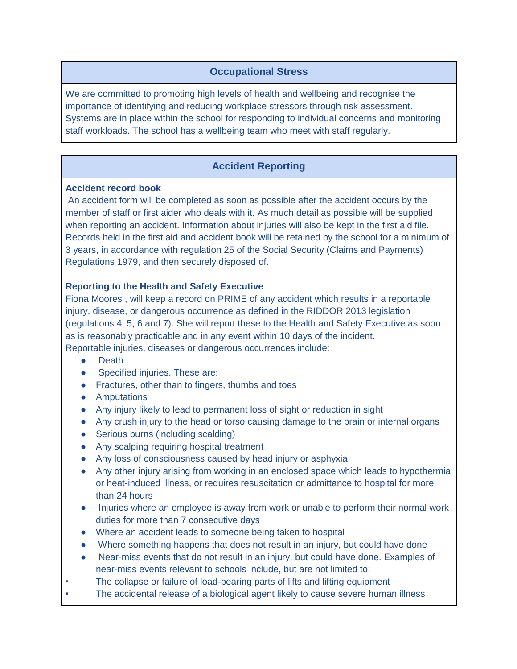# **Occupational Stress**

We are committed to promoting high levels of health and wellbeing and recognise the importance of identifying and reducing workplace stressors through risk assessment. Systems are in place within the school for responding to individual concerns and monitoring staff workloads. The school has a wellbeing team who meet with staff regularly.

# **Accident Reporting**

#### **Accident record book**

An accident form will be completed as soon as possible after the accident occurs by the member of staff or first aider who deals with it. As much detail as possible will be supplied when reporting an accident. Information about injuries will also be kept in the first aid file. Records held in the first aid and accident book will be retained by the school for a minimum of 3 years, in accordance with regulation 25 of the Social Security (Claims and Payments) Regulations 1979, and then securely disposed of.

#### **Reporting to the Health and Safety Executive**

Fiona Moores , will keep a record on PRIME of any accident which results in a reportable injury, disease, or dangerous occurrence as defined in the RIDDOR 2013 legislation (regulations 4, 5, 6 and 7). She will report these to the Health and Safety Executive as soon as is reasonably practicable and in any event within 10 days of the incident. Reportable injuries, diseases or dangerous occurrences include:

- Death
- Specified injuries. These are:
- Fractures, other than to fingers, thumbs and toes
- Amputations
- Any injury likely to lead to permanent loss of sight or reduction in sight
- Any crush injury to the head or torso causing damage to the brain or internal organs
- Serious burns (including scalding)
- Any scalping requiring hospital treatment
- Any loss of consciousness caused by head injury or asphyxia
- Any other injury arising from working in an enclosed space which leads to hypothermia or heat-induced illness, or requires resuscitation or admittance to hospital for more than 24 hours
- Injuries where an employee is away from work or unable to perform their normal work duties for more than 7 consecutive days
- Where an accident leads to someone being taken to hospital
- Where something happens that does not result in an injury, but could have done
- Near-miss events that do not result in an injury, but could have done. Examples of near-miss events relevant to schools include, but are not limited to:
- The collapse or failure of load-bearing parts of lifts and lifting equipment
- The accidental release of a biological agent likely to cause severe human illness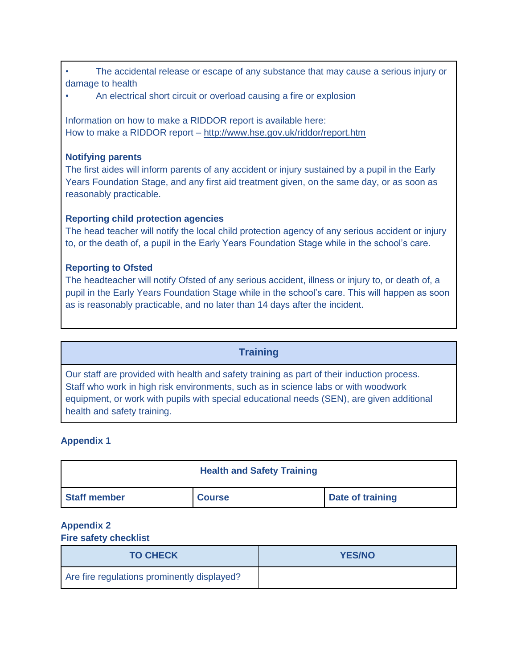| The accidental release or escape of any substance that may cause a serious injury or |  |  |  |  |
|--------------------------------------------------------------------------------------|--|--|--|--|
| damage to health                                                                     |  |  |  |  |

• An electrical short circuit or overload causing a fire or explosion

Information on how to make a RIDDOR report is available here: How to make a RIDDOR report – <http://www.hse.gov.uk/riddor/report.htm>

#### **Notifying parents**

The first aides will inform parents of any accident or injury sustained by a pupil in the Early Years Foundation Stage, and any first aid treatment given, on the same day, or as soon as reasonably practicable.

## **Reporting child protection agencies**

The head teacher will notify the local child protection agency of any serious accident or injury to, or the death of, a pupil in the Early Years Foundation Stage while in the school's care.

#### **Reporting to Ofsted**

The headteacher will notify Ofsted of any serious accident, illness or injury to, or death of, a pupil in the Early Years Foundation Stage while in the school's care. This will happen as soon as is reasonably practicable, and no later than 14 days after the incident.

## **Training**

Our staff are provided with health and safety training as part of their induction process. Staff who work in high risk environments, such as in science labs or with woodwork equipment, or work with pupils with special educational needs (SEN), are given additional health and safety training.

## **Appendix 1**

|                     | <b>Health and Safety Training</b> |                  |
|---------------------|-----------------------------------|------------------|
| <b>Staff member</b> | <b>Course</b>                     | Date of training |

## **Appendix 2**

#### **Fire safety checklist**

| <b>TO CHECK</b>                             | <b>YES/NO</b> |
|---------------------------------------------|---------------|
| Are fire regulations prominently displayed? |               |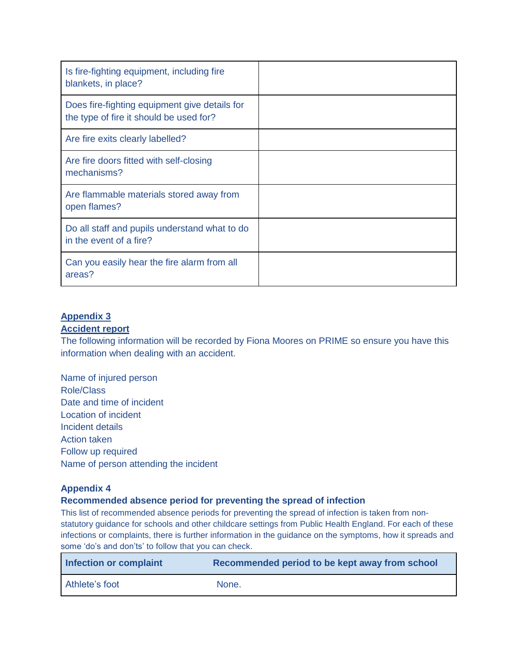| Is fire-fighting equipment, including fire<br>blankets, in place?                        |  |
|------------------------------------------------------------------------------------------|--|
| Does fire-fighting equipment give details for<br>the type of fire it should be used for? |  |
| Are fire exits clearly labelled?                                                         |  |
| Are fire doors fitted with self-closing<br>mechanisms?                                   |  |
| Are flammable materials stored away from<br>open flames?                                 |  |
| Do all staff and pupils understand what to do<br>in the event of a fire?                 |  |
| Can you easily hear the fire alarm from all<br>areas?                                    |  |

# **Appendix 3**

#### **Accident report**

The following information will be recorded by Fiona Moores on PRIME so ensure you have this information when dealing with an accident.

Name of injured person Role/Class Date and time of incident Location of incident Incident details Action taken Follow up required Name of person attending the incident

#### **Appendix 4**

#### **Recommended absence period for preventing the spread of infection**

This list of recommended absence periods for preventing the spread of infection is taken from nonstatutory guidance for schools and other childcare settings from Public Health England. For each of these infections or complaints, there is further information in the guidance on the symptoms, how it spreads and some 'do's and don'ts' to follow that you can check.

| Infection or complaint | Recommended period to be kept away from school |
|------------------------|------------------------------------------------|
| Athlete's foot         | None.                                          |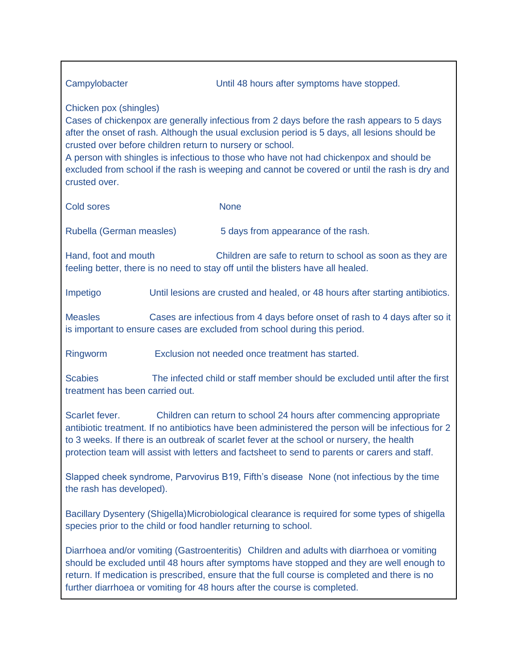| Campylobacter                                                                                                                                                                                                                                                                                                                                                                                                                                                                                    |                                                  | Until 48 hours after symptoms have stopped.                                                                                                   |  |  |  |  |
|--------------------------------------------------------------------------------------------------------------------------------------------------------------------------------------------------------------------------------------------------------------------------------------------------------------------------------------------------------------------------------------------------------------------------------------------------------------------------------------------------|--------------------------------------------------|-----------------------------------------------------------------------------------------------------------------------------------------------|--|--|--|--|
| Chicken pox (shingles)<br>Cases of chickenpox are generally infectious from 2 days before the rash appears to 5 days<br>after the onset of rash. Although the usual exclusion period is 5 days, all lesions should be<br>crusted over before children return to nursery or school.<br>A person with shingles is infectious to those who have not had chickenpox and should be<br>excluded from school if the rash is weeping and cannot be covered or until the rash is dry and<br>crusted over. |                                                  |                                                                                                                                               |  |  |  |  |
| <b>Cold sores</b>                                                                                                                                                                                                                                                                                                                                                                                                                                                                                |                                                  | <b>None</b>                                                                                                                                   |  |  |  |  |
| Rubella (German measles)                                                                                                                                                                                                                                                                                                                                                                                                                                                                         |                                                  | 5 days from appearance of the rash.                                                                                                           |  |  |  |  |
| Hand, foot and mouth                                                                                                                                                                                                                                                                                                                                                                                                                                                                             |                                                  | Children are safe to return to school as soon as they are<br>feeling better, there is no need to stay off until the blisters have all healed. |  |  |  |  |
| Impetigo                                                                                                                                                                                                                                                                                                                                                                                                                                                                                         |                                                  | Until lesions are crusted and healed, or 48 hours after starting antibiotics.                                                                 |  |  |  |  |
| Cases are infectious from 4 days before onset of rash to 4 days after so it<br><b>Measles</b><br>is important to ensure cases are excluded from school during this period.                                                                                                                                                                                                                                                                                                                       |                                                  |                                                                                                                                               |  |  |  |  |
| Ringworm                                                                                                                                                                                                                                                                                                                                                                                                                                                                                         | Exclusion not needed once treatment has started. |                                                                                                                                               |  |  |  |  |
| The infected child or staff member should be excluded until after the first<br><b>Scabies</b><br>treatment has been carried out.                                                                                                                                                                                                                                                                                                                                                                 |                                                  |                                                                                                                                               |  |  |  |  |
| Scarlet fever.<br>Children can return to school 24 hours after commencing appropriate<br>antibiotic treatment. If no antibiotics have been administered the person will be infectious for 2<br>to 3 weeks. If there is an outbreak of scarlet fever at the school or nursery, the health<br>protection team will assist with letters and factsheet to send to parents or carers and staff.                                                                                                       |                                                  |                                                                                                                                               |  |  |  |  |
| Slapped cheek syndrome, Parvovirus B19, Fifth's disease None (not infectious by the time<br>the rash has developed).                                                                                                                                                                                                                                                                                                                                                                             |                                                  |                                                                                                                                               |  |  |  |  |
| Bacillary Dysentery (Shigella)Microbiological clearance is required for some types of shigella<br>species prior to the child or food handler returning to school.                                                                                                                                                                                                                                                                                                                                |                                                  |                                                                                                                                               |  |  |  |  |
| Diarrhoea and/or vomiting (Gastroenteritis) Children and adults with diarrhoea or vomiting<br>should be excluded until 48 hours after symptoms have stopped and they are well enough to<br>return. If medication is prescribed, ensure that the full course is completed and there is no<br>further diarrhoea or vomiting for 48 hours after the course is completed.                                                                                                                            |                                                  |                                                                                                                                               |  |  |  |  |
|                                                                                                                                                                                                                                                                                                                                                                                                                                                                                                  |                                                  |                                                                                                                                               |  |  |  |  |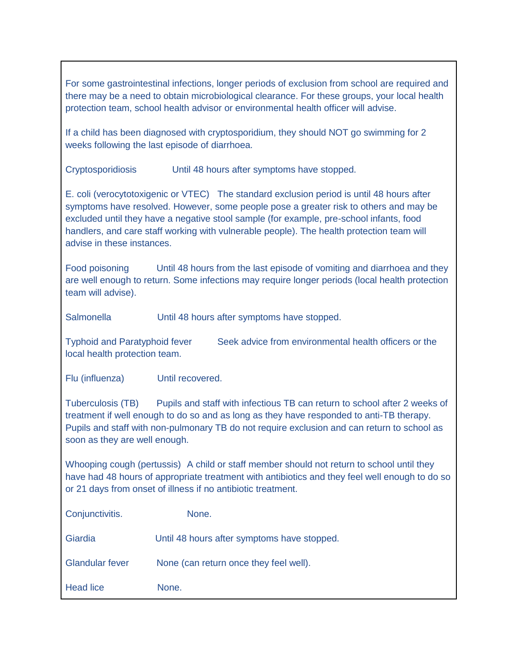For some gastrointestinal infections, longer periods of exclusion from school are required and there may be a need to obtain microbiological clearance. For these groups, your local health protection team, school health advisor or environmental health officer will advise.

If a child has been diagnosed with cryptosporidium, they should NOT go swimming for 2 weeks following the last episode of diarrhoea.

Cryptosporidiosis Until 48 hours after symptoms have stopped.

E. coli (verocytotoxigenic or VTEC) The standard exclusion period is until 48 hours after symptoms have resolved. However, some people pose a greater risk to others and may be excluded until they have a negative stool sample (for example, pre-school infants, food handlers, and care staff working with vulnerable people). The health protection team will advise in these instances.

Food poisoning Until 48 hours from the last episode of vomiting and diarrhoea and they are well enough to return. Some infections may require longer periods (local health protection team will advise).

Salmonella **Until 48 hours after symptoms have stopped.** 

Typhoid and Paratyphoid fever Seek advice from environmental health officers or the local health protection team.

Flu (influenza) Until recovered.

Tuberculosis (TB) Pupils and staff with infectious TB can return to school after 2 weeks of treatment if well enough to do so and as long as they have responded to anti-TB therapy. Pupils and staff with non-pulmonary TB do not require exclusion and can return to school as soon as they are well enough.

Whooping cough (pertussis) A child or staff member should not return to school until they have had 48 hours of appropriate treatment with antibiotics and they feel well enough to do so or 21 days from onset of illness if no antibiotic treatment.

| Conjunctivitis.        | None.                                       |
|------------------------|---------------------------------------------|
| Giardia                | Until 48 hours after symptoms have stopped. |
| <b>Glandular fever</b> | None (can return once they feel well).      |
| <b>Head lice</b>       | None.                                       |